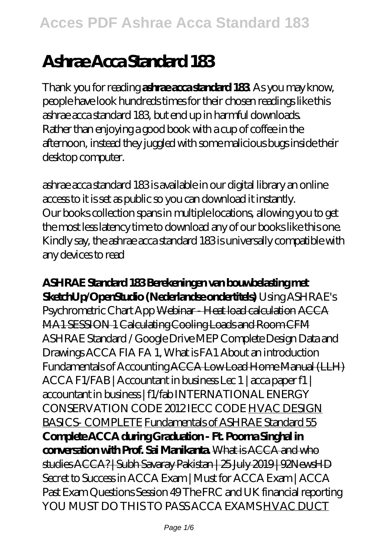# **Ashrae Acca Standard 183**

Thank you for reading **ashrae acca standard 183**. As you may know, people have look hundreds times for their chosen readings like this ashrae acca standard 183, but end up in harmful downloads. Rather than enjoying a good book with a cup of coffee in the afternoon, instead they juggled with some malicious bugs inside their desktop computer.

ashrae acca standard 183 is available in our digital library an online access to it is set as public so you can download it instantly. Our books collection spans in multiple locations, allowing you to get the most less latency time to download any of our books like this one. Kindly say, the ashrae acca standard 183 is universally compatible with any devices to read

#### **ASHRAE Standard 183 Berekeningen van bouwbelasting met SketchUp/OpenStudio (Nederlandse ondertitels)** *Using ASHRAE's*

*Psychrometric Chart App* Webinar - Heat load calculation ACCA MA1 SESSION 1 Calculating Cooling Loads and Room CFM *ASHRAE Standard / Google Drive MEP Complete Design Data and Drawings ACCA FIA FA 1, What is FA1 About an introduction Fundamentals of Accounting* ACCA Low Load Home Manual (LLH) ACCA F1/FAB | Accountant in business Lec 1 | acca paper f1 | accountant in business | f1/fab INTERNATIONAL ENERGY CONSERVATION CODE 2012 IECC CODE HVAC DESIGN BASICS- COMPLETE Fundamentals of ASHRAE Standard 55 **Complete ACCA during Graduation - Ft. Poorna Singhal in conversation with Prof. Sai Manikanta.** What is ACCA and who studies ACCA? | Subh Savaray Pakistan | 25 July 2019 | 92NewsHD *Secret to Success in ACCA Exam | Must for ACCA Exam | ACCA Past Exam Questions Session 49 The FRC and UK financial reporting YOU MUST DO THIS TO PASS ACCA EXAMS* HVAC DUCT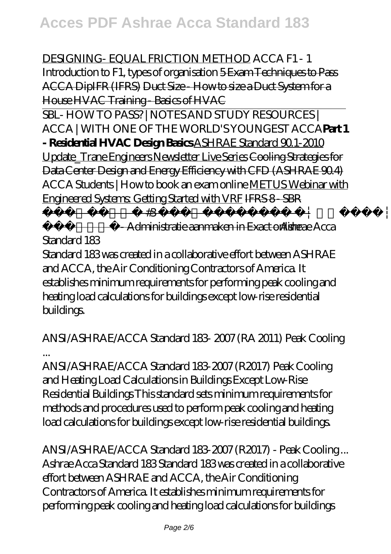DESIGNING- EQUAL FRICTION METHOD *ACCA F1 - 1 Introduction to F1, types of organisation* 5 Exam Techniques to Pass ACCA DipIFR (IFRS) Duct Size - How to size a Duct System for a House HVAC Training - Basics of HVAC

SBL- HOW TO PASS? | NOTES AND STUDY RESOURCES | ACCA | WITH ONE OF THE WORLD'S YOUNGEST ACCA**Part 1 - Residential HVAC Design Basics** ASHRAE Standard 90.1-2010 Update\_Trane Engineers Newsletter Live Series Cooling Strategies for Data Center Design and Energy Efficiency with CFD (ASHRAE 90.4) *ACCA Students | How to book an exam online* METUS Webinar with Engineered Systems: Getting Started with VRF IFRS 8 - SBR

 $\frac{1}{1}$  - 1  $\frac{1}{1}$  - 1  $\frac{1}{1}$  - 1  $\frac{1}{1}$  - 1  $\frac{1}{1}$  - 1  $\frac{1}{1}$  - 1  $\frac{1}{1}$  - 1  $\frac{1}{1}$  - 1  $\frac{1}{1}$  - 1  $\frac{1}{1}$  - 1  $\frac{1}{1}$  - 1  $\frac{1}{1}$  - 1  $\frac{1}{1}$  - 1  $\frac{1}{1}$  - 1  $\frac{1}{1}$  - 1  $\frac{1}{1}$  -

ةديدج- Administratie aanmaken in Exact online *Ashrae Acca Standard 183*

Standard 183 was created in a collaborative effort between ASHRAE and ACCA, the Air Conditioning Contractors of America. It establishes minimum requirements for performing peak cooling and heating load calculations for buildings except low-rise residential buildings.

### *ANSI/ASHRAE/ACCA Standard 183- 2007 (RA 2011) Peak Cooling ...*

ANSI/ASHRAE/ACCA Standard 183-2007 (R2017) Peak Cooling and Heating Load Calculations in Buildings Except Low-Rise Residential Buildings This standard sets minimum requirements for methods and procedures used to perform peak cooling and heating load calculations for buildings except low-rise residential buildings.

*ANSI/ASHRAE/ACCA Standard 183-2007 (R2017) - Peak Cooling ...* Ashrae Acca Standard 183 Standard 183 was created in a collaborative effort between ASHRAE and ACCA, the Air Conditioning Contractors of America. It establishes minimum requirements for performing peak cooling and heating load calculations for buildings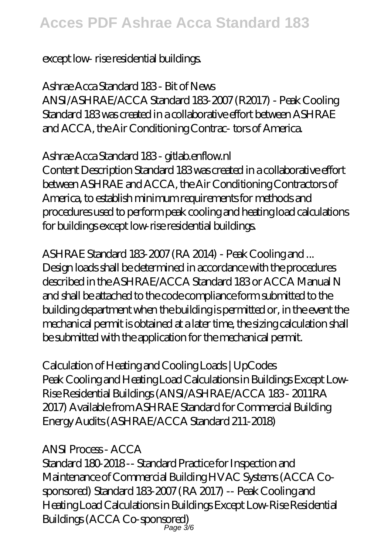## **Acces PDF Ashrae Acca Standard 183**

#### except low- rise residential buildings.

#### *Ashrae Acca Standard 183 - Bit of News*

ANSI/ASHRAE/ACCA Standard 183-2007 (R2017) - Peak Cooling Standard 183 was created in a collaborative effort between ASHRAE and ACCA, the Air Conditioning Contrac- tors of America.

#### *Ashrae Acca Standard 183 - gitlab.enflow.nl*

Content Description Standard 183 was created in a collaborative effort between ASHRAE and ACCA, the Air Conditioning Contractors of America, to establish minimum requirements for methods and procedures used to perform peak cooling and heating load calculations for buildings except low-rise residential buildings.

## *ASHRAE Standard 183-2007 (RA 2014) - Peak Cooling and ...*

Design loads shall be determined in accordance with the procedures described in the ASHRAE/ACCA Standard 183 or ACCA Manual N and shall be attached to the code compliance form submitted to the building department when the building is permitted or, in the event the mechanical permit is obtained at a later time, the sizing calculation shall be submitted with the application for the mechanical permit.

### *Calculation of Heating and Cooling Loads | UpCodes*

Peak Cooling and Heating Load Calculations in Buildings Except Low-Rise Residential Buildings (ANSI/ASHRAE/ACCA 183 - 2011RA 2017) Available from ASHRAE Standard for Commercial Building Energy Audits (ASHRAE/ACCA Standard 211-2018)

#### *ANSI Process - ACCA*

Standard 180-2018 -- Standard Practice for Inspection and Maintenance of Commercial Building HVAC Systems (ACCA Cosponsored) Standard 183-2007 (RA 2017) -- Peak Cooling and Heating Load Calculations in Buildings Except Low-Rise Residential Buildings (ACCA Co-sponsored) Page 3/6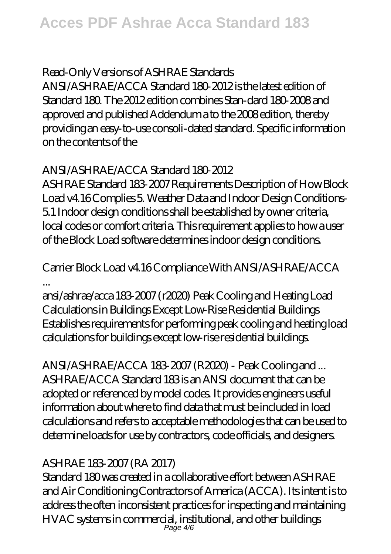### *Read-Only Versions of ASHRAE Standards*

ANSI/ASHRAE/ACCA Standard 180-2012 is the latest edition of Standard 180. The 2012 edition combines Stan-dard 180-2008 and approved and published Addendum a to the 2008 edition, thereby providing an easy-to-use consoli-dated standard. Specific information on the contents of the

## *ANSI/ASHRAE/ACCA Standard 180-2012*

ASHRAE Standard 183-2007 Requirements Description of How Block Load v4.16 Complies 5. Weather Data and Indoor Design Conditions-5.1 Indoor design conditions shall be established by owner criteria, local codes or comfort criteria. This requirement applies to how a user of the Block Load software determines indoor design conditions.

## *Carrier Block Load v4.16 Compliance With ANSI/ASHRAE/ACCA ...*

ansi/ashrae/acca 183-2007 (r2020) Peak Cooling and Heating Load Calculations in Buildings Except Low-Rise Residential Buildings Establishes requirements for performing peak cooling and heating load calculations for buildings except low-rise residential buildings.

#### *ANSI/ASHRAE/ACCA 183-2007 (R2020) - Peak Cooling and ...* ASHRAE/ACCA Standard 183 is an ANSI document that can be adopted or referenced by model codes. It provides engineers useful information about where to find data that must be included in load calculations and refers to acceptable methodologies that can be used to determine loads for use by contractors, code officials, and designers.

## *ASHRAE 183-2007 (RA 2017)*

Standard 180 was created in a collaborative effort between ASHRAE and Air Conditioning Contractors of America (ACCA). Its intent is to address the often inconsistent practices for inspecting and maintaining HVAC systems in commercial, institutional, and other buildings Page 4/6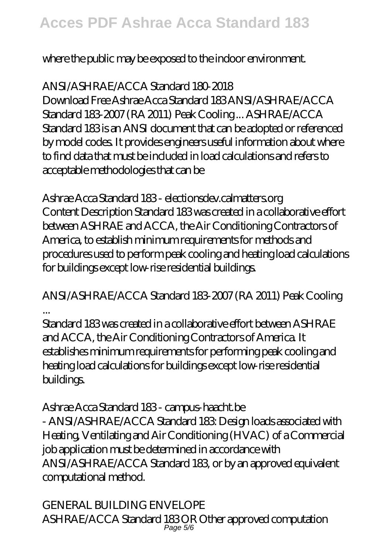where the public may be exposed to the indoor environment.

## *ANSI/ASHRAE/ACCA Standard 180-2018*

Download Free Ashrae Acca Standard 183 ANSI/ASHRAE/ACCA Standard 183-2007 (RA 2011) Peak Cooling ... ASHRAE/ACCA Standard 183 is an ANSI document that can be adopted or referenced by model codes. It provides engineers useful information about where to find data that must be included in load calculations and refers to acceptable methodologies that can be

### *Ashrae Acca Standard 183 - electionsdev.calmatters.org*

Content Description Standard 183 was created in a collaborative effort between ASHRAE and ACCA, the Air Conditioning Contractors of America, to establish minimum requirements for methods and procedures used to perform peak cooling and heating load calculations for buildings except low-rise residential buildings.

## *ANSI/ASHRAE/ACCA Standard 183-2007 (RA 2011) Peak Cooling ...*

Standard 183 was created in a collaborative effort between ASHRAE and ACCA, the Air Conditioning Contractors of America. It establishes minimum requirements for performing peak cooling and heating load calculations for buildings except low-rise residential buildings.

## *Ashrae Acca Standard 183 - campus-haacht.be*

- ANSI/ASHRAE/ACCA Standard 183: Design loads associated with Heating, Ventilating and Air Conditioning (HVAC) of a Commercial job application must be determined in accordance with ANSI/ASHRAE/ACCA Standard 183, or by an approved equivalent computational method.

## *GENERAL BUILDING ENVELOPE*

ASHRAE/ACCA Standard 183 OR Other approved computation Page 5/6